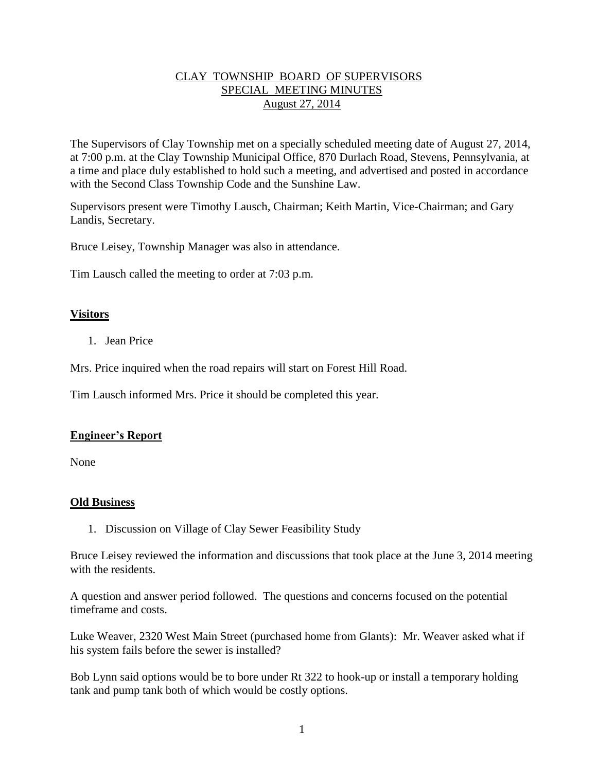## CLAY TOWNSHIP BOARD OF SUPERVISORS SPECIAL MEETING MINUTES August 27, 2014

The Supervisors of Clay Township met on a specially scheduled meeting date of August 27, 2014, at 7:00 p.m. at the Clay Township Municipal Office, 870 Durlach Road, Stevens, Pennsylvania, at a time and place duly established to hold such a meeting, and advertised and posted in accordance with the Second Class Township Code and the Sunshine Law.

Supervisors present were Timothy Lausch, Chairman; Keith Martin, Vice-Chairman; and Gary Landis, Secretary.

Bruce Leisey, Township Manager was also in attendance.

Tim Lausch called the meeting to order at 7:03 p.m.

### **Visitors**

1. Jean Price

Mrs. Price inquired when the road repairs will start on Forest Hill Road.

Tim Lausch informed Mrs. Price it should be completed this year.

#### **Engineer's Report**

None

#### **Old Business**

1. Discussion on Village of Clay Sewer Feasibility Study

Bruce Leisey reviewed the information and discussions that took place at the June 3, 2014 meeting with the residents.

A question and answer period followed. The questions and concerns focused on the potential timeframe and costs.

Luke Weaver, 2320 West Main Street (purchased home from Glants): Mr. Weaver asked what if his system fails before the sewer is installed?

Bob Lynn said options would be to bore under Rt 322 to hook-up or install a temporary holding tank and pump tank both of which would be costly options.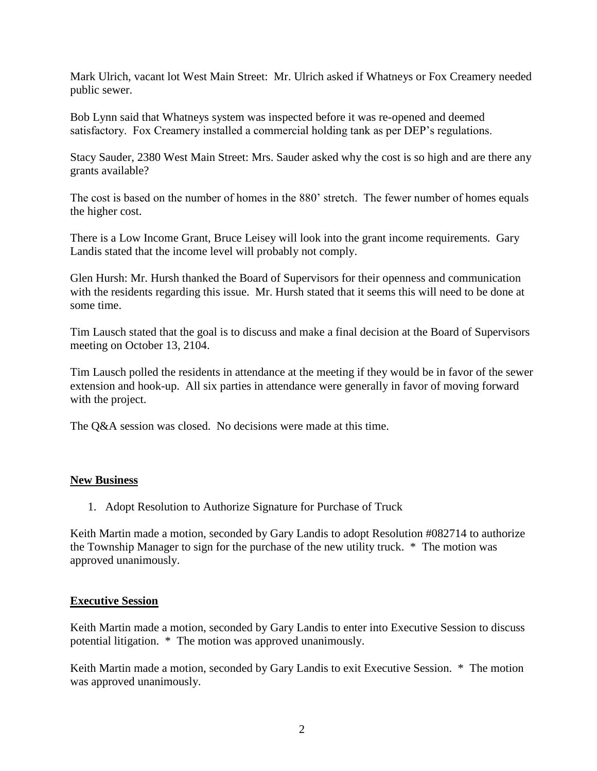Mark Ulrich, vacant lot West Main Street: Mr. Ulrich asked if Whatneys or Fox Creamery needed public sewer.

Bob Lynn said that Whatneys system was inspected before it was re-opened and deemed satisfactory. Fox Creamery installed a commercial holding tank as per DEP's regulations.

Stacy Sauder, 2380 West Main Street: Mrs. Sauder asked why the cost is so high and are there any grants available?

The cost is based on the number of homes in the 880' stretch. The fewer number of homes equals the higher cost.

There is a Low Income Grant, Bruce Leisey will look into the grant income requirements. Gary Landis stated that the income level will probably not comply.

Glen Hursh: Mr. Hursh thanked the Board of Supervisors for their openness and communication with the residents regarding this issue. Mr. Hursh stated that it seems this will need to be done at some time.

Tim Lausch stated that the goal is to discuss and make a final decision at the Board of Supervisors meeting on October 13, 2104.

Tim Lausch polled the residents in attendance at the meeting if they would be in favor of the sewer extension and hook-up. All six parties in attendance were generally in favor of moving forward with the project.

The Q&A session was closed. No decisions were made at this time.

#### **New Business**

1. Adopt Resolution to Authorize Signature for Purchase of Truck

Keith Martin made a motion, seconded by Gary Landis to adopt Resolution #082714 to authorize the Township Manager to sign for the purchase of the new utility truck. \* The motion was approved unanimously.

#### **Executive Session**

Keith Martin made a motion, seconded by Gary Landis to enter into Executive Session to discuss potential litigation. \* The motion was approved unanimously.

Keith Martin made a motion, seconded by Gary Landis to exit Executive Session. \* The motion was approved unanimously.